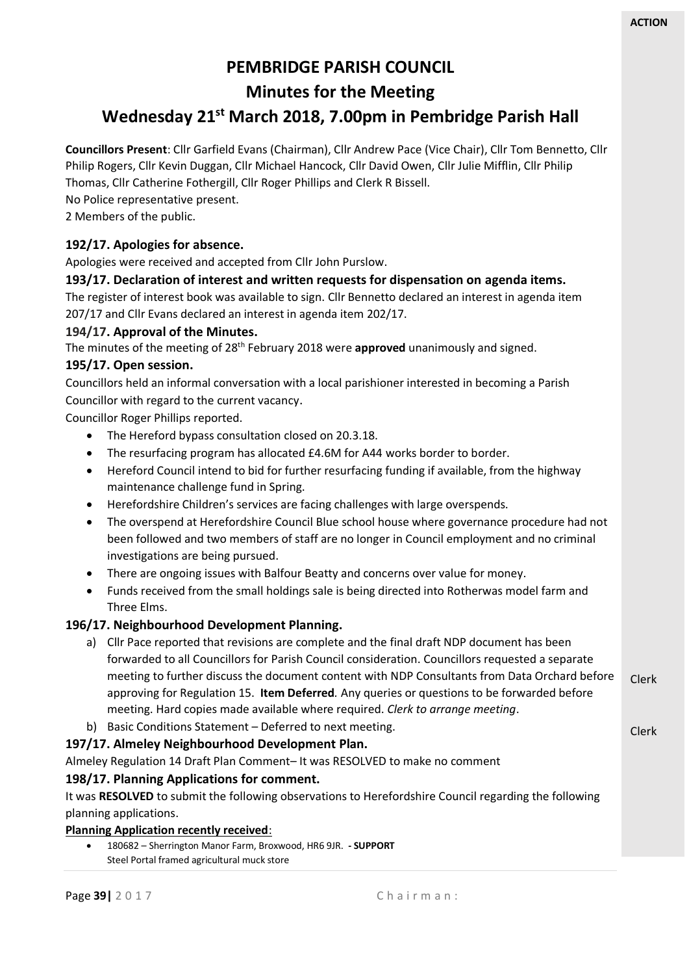Clerk

# **PEMBRIDGE PARISH COUNCIL Minutes for the Meeting**

# **Wednesday 21st March 2018, 7.00pm in Pembridge Parish Hall**

**Councillors Present**: Cllr Garfield Evans (Chairman), Cllr Andrew Pace (Vice Chair), Cllr Tom Bennetto, Cllr Philip Rogers, Cllr Kevin Duggan, Cllr Michael Hancock, Cllr David Owen, Cllr Julie Mifflin, Cllr Philip Thomas, Cllr Catherine Fothergill, Cllr Roger Phillips and Clerk R Bissell.

No Police representative present.

2 Members of the public.

## **192/17. Apologies for absence.**

Apologies were received and accepted from Cllr John Purslow.

### **193/17. Declaration of interest and written requests for dispensation on agenda items.**

The register of interest book was available to sign. Cllr Bennetto declared an interest in agenda item 207/17 and Cllr Evans declared an interest in agenda item 202/17.

### **194/17. Approval of the Minutes.**

The minutes of the meeting of 28th February 2018 were **approved** unanimously and signed.

### **195/17. Open session.**

Councillors held an informal conversation with a local parishioner interested in becoming a Parish Councillor with regard to the current vacancy.

Councillor Roger Phillips reported.

- The Hereford bypass consultation closed on 20.3.18.
- The resurfacing program has allocated £4.6M for A44 works border to border.
- Hereford Council intend to bid for further resurfacing funding if available, from the highway maintenance challenge fund in Spring.
- Herefordshire Children's services are facing challenges with large overspends.
- The overspend at Herefordshire Council Blue school house where governance procedure had not been followed and two members of staff are no longer in Council employment and no criminal investigations are being pursued.
- There are ongoing issues with Balfour Beatty and concerns over value for money.
- Funds received from the small holdings sale is being directed into Rotherwas model farm and Three Elms.

#### **196/17. Neighbourhood Development Planning.**

- Clerk a) Cllr Pace reported that revisions are complete and the final draft NDP document has been forwarded to all Councillors for Parish Council consideration. Councillors requested a separate meeting to further discuss the document content with NDP Consultants from Data Orchard before approving for Regulation 15. **Item Deferred***.* Any queries or questions to be forwarded before meeting. Hard copies made available where required. *Clerk to arrange meeting*.
- b) Basic Conditions Statement Deferred to next meeting.

## **197/17. Almeley Neighbourhood Development Plan.**

Almeley Regulation 14 Draft Plan Comment– It was RESOLVED to make no comment

## **198/17. Planning Applications for comment.**

It was **RESOLVED** to submit the following observations to Herefordshire Council regarding the following planning applications.

#### **Planning Application recently received**:

• 180682 – Sherrington Manor Farm, Broxwood, HR6 9JR. **- SUPPORT** Steel Portal framed agricultural muck store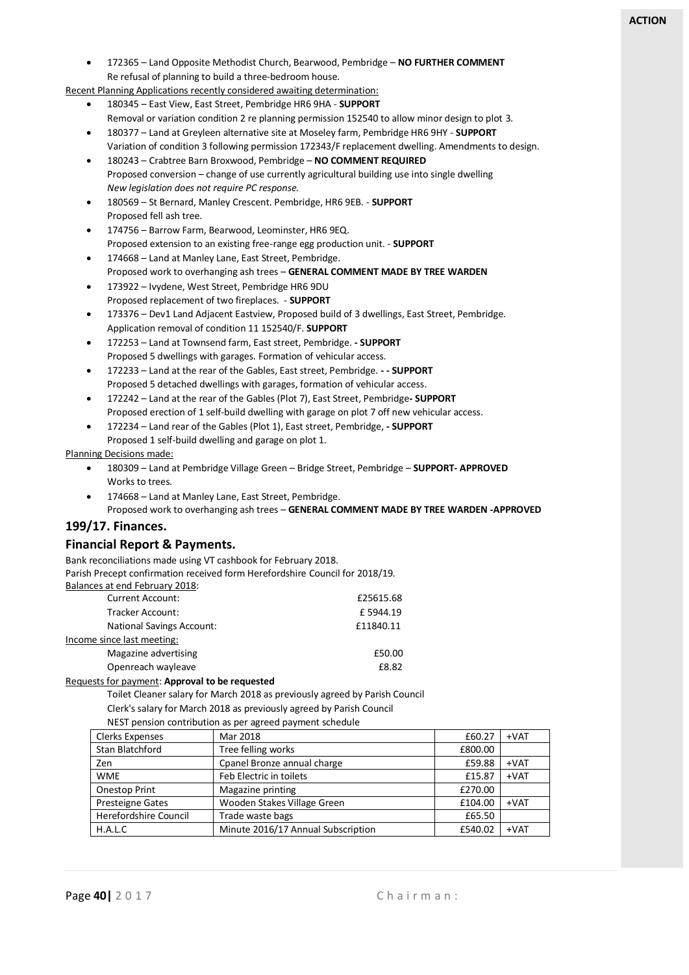• 172365 – Land Opposite Methodist Church, Bearwood, Pembridge – **NO FURTHER COMMENT** Re refusal of planning to build a three-bedroom house.

Recent Planning Applications recently considered awaiting determination:

- 180345 East View, East Street, Pembridge HR6 9HA **SUPPORT**
	- Removal or variation condition 2 re planning permission 152540 to allow minor design to plot 3.
	- 180377 Land at Greyleen alternative site at Moseley farm, Pembridge HR6 9HY **SUPPORT** Variation of condition 3 following permission 172343/F replacement dwelling. Amendments to design.
	- 180243 Crabtree Barn Broxwood, Pembridge **NO COMMENT REQUIRED** Proposed conversion – change of use currently agricultural building use into single dwelling *New legislation does not require PC response.*
	- 180569 St Bernard, Manley Crescent. Pembridge, HR6 9EB. **SUPPORT** Proposed fell ash tree.
	- 174756 Barrow Farm, Bearwood, Leominster, HR6 9EQ. Proposed extension to an existing free-range egg production unit. - **SUPPORT**
- 174668 Land at Manley Lane, East Street, Pembridge. Proposed work to overhanging ash trees – **GENERAL COMMENT MADE BY TREE WARDEN**
- 173922 Ivydene, West Street, Pembridge HR6 9DU Proposed replacement of two fireplaces. - **SUPPORT**
- 173376 Dev1 Land Adjacent Eastview, Proposed build of 3 dwellings, East Street, Pembridge. Application removal of condition 11 152540/F. **SUPPORT**
- 172253 Land at Townsend farm, East street, Pembridge. **- SUPPORT** Proposed 5 dwellings with garages. Formation of vehicular access.
- 172233 Land at the rear of the Gables, East street, Pembridge. **- - SUPPORT** Proposed 5 detached dwellings with garages, formation of vehicular access.
- 172242 Land at the rear of the Gables (Plot 7), East Street, Pembridge**- SUPPORT** Proposed erection of 1 self-build dwelling with garage on plot 7 off new vehicular access.
- 172234 Land rear of the Gables (Plot 1), East street, Pembridge, **- SUPPORT** Proposed 1 self-build dwelling and garage on plot 1.

#### Planning Decisions made:

- 180309 Land at Pembridge Village Green Bridge Street, Pembridge **SUPPORT- APPROVED** Works to trees.
- 174668 Land at Manley Lane, East Street, Pembridge. Proposed work to overhanging ash trees – **GENERAL COMMENT MADE BY TREE WARDEN -APPROVED**

#### **199/17. Finances.**

#### **Financial Report & Payments.**

Bank reconciliations made using VT cashbook for February 2018.

Parish Precept confirmation received form Herefordshire Council for 2018/19.

| Balances at end February 2018:   |           |
|----------------------------------|-----------|
| <b>Current Account:</b>          | £25615.68 |
| Tracker Account:                 | £5944.19  |
| <b>National Savings Account:</b> | £11840.11 |
| Income since last meeting:       |           |
| Magazine advertising             | £50.00    |
| Openreach wayleave               | £8.82     |
|                                  |           |

#### Requests for payment: **Approval to be requested**

Toilet Cleaner salary for March 2018 as previously agreed by Parish Council

Clerk's salary for March 2018 as previously agreed by Parish Council NEST pension contribution as per agreed payment schedule

| in perision continuation as per agreed payment scriedule |                                    |         |        |  |
|----------------------------------------------------------|------------------------------------|---------|--------|--|
| <b>Clerks Expenses</b>                                   | Mar 2018                           | £60.27  | $+VAT$ |  |
| Stan Blatchford                                          | Tree felling works                 | £800.00 |        |  |
| Zen                                                      | Cpanel Bronze annual charge        | £59.88  | $+VAT$ |  |
| <b>WME</b>                                               | Feb Electric in toilets            | £15.87  | $+VAT$ |  |
| Onestop Print                                            | Magazine printing                  | £270.00 |        |  |
| <b>Presteigne Gates</b>                                  | Wooden Stakes Village Green        | £104.00 | $+VAT$ |  |
| Herefordshire Council                                    | Trade waste bags                   | £65.50  |        |  |
| H.A.L.C                                                  | Minute 2016/17 Annual Subscription | £540.02 | $+VAT$ |  |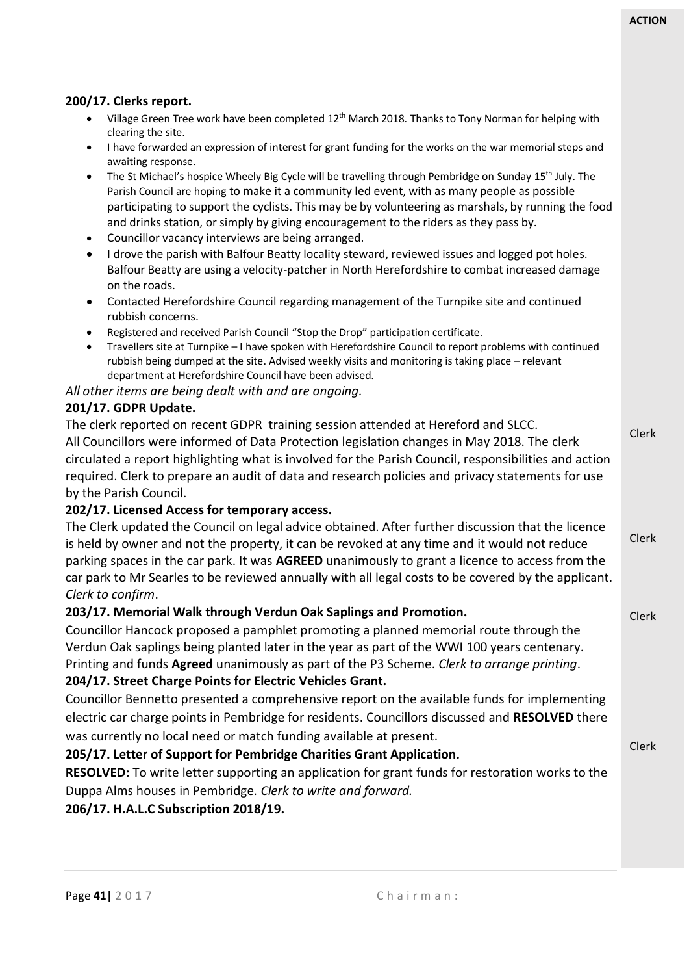Clerk

Clerk

#### **200/17. Clerks report.**

- Village Green Tree work have been completed 12<sup>th</sup> March 2018. Thanks to Tony Norman for helping with clearing the site.
- I have forwarded an expression of interest for grant funding for the works on the war memorial steps and awaiting response.
- The St Michael's hospice Wheely Big Cycle will be travelling through Pembridge on Sunday 15<sup>th</sup> July. The Parish Council are hoping to make it a community led event, with as many people as possible participating to support the cyclists. This may be by volunteering as marshals, by running the food and drinks station, or simply by giving encouragement to the riders as they pass by.
- Councillor vacancy interviews are being arranged.
- I drove the parish with Balfour Beatty locality steward, reviewed issues and logged pot holes. Balfour Beatty are using a velocity-patcher in North Herefordshire to combat increased damage on the roads.
- Contacted Herefordshire Council regarding management of the Turnpike site and continued rubbish concerns.
- Registered and received Parish Council "Stop the Drop" participation certificate.
- Travellers site at Turnpike I have spoken with Herefordshire Council to report problems with continued rubbish being dumped at the site. Advised weekly visits and monitoring is taking place – relevant department at Herefordshire Council have been advised.

#### *All other items are being dealt with and are ongoing.*

#### **201/17. GDPR Update.**

Clerk The clerk reported on recent GDPR training session attended at Hereford and SLCC. All Councillors were informed of Data Protection legislation changes in May 2018. The clerk circulated a report highlighting what is involved for the Parish Council, responsibilities and action required. Clerk to prepare an audit of data and research policies and privacy statements for use by the Parish Council.

#### **202/17. Licensed Access for temporary access.**

Clerk The Clerk updated the Council on legal advice obtained. After further discussion that the licence is held by owner and not the property, it can be revoked at any time and it would not reduce parking spaces in the car park. It was **AGREED** unanimously to grant a licence to access from the car park to Mr Searles to be reviewed annually with all legal costs to be covered by the applicant. *Clerk to confirm*.

#### **203/17. Memorial Walk through Verdun Oak Saplings and Promotion.**

Councillor Hancock proposed a pamphlet promoting a planned memorial route through the Verdun Oak saplings being planted later in the year as part of the WWI 100 years centenary. Printing and funds **Agreed** unanimously as part of the P3 Scheme. *Clerk to arrange printing*.

#### **204/17. Street Charge Points for Electric Vehicles Grant.**

Councillor Bennetto presented a comprehensive report on the available funds for implementing electric car charge points in Pembridge for residents. Councillors discussed and **RESOLVED** there was currently no local need or match funding available at present.

#### **205/17. Letter of Support for Pembridge Charities Grant Application.**

**RESOLVED:** To write letter supporting an application for grant funds for restoration works to the Duppa Alms houses in Pembridge*. Clerk to write and forward.*

#### **206/17. H.A.L.C Subscription 2018/19.**